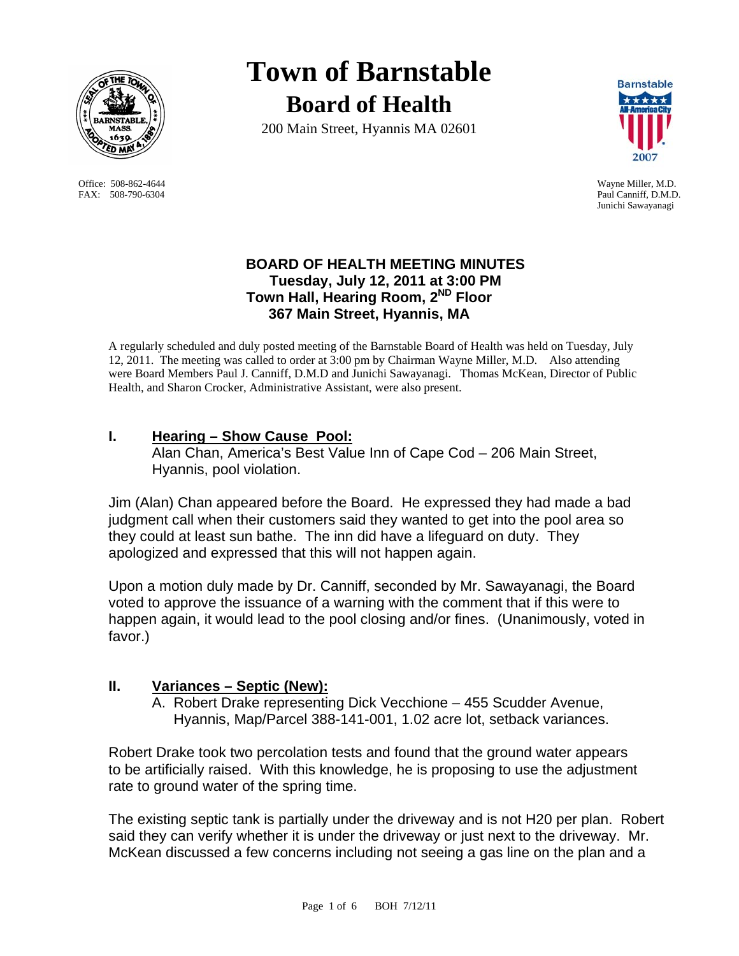

Office: 508-862-4644 Wayne Miller, M.D. FAX: 508-790-6304 Paul Canniff, D.M.D.

# **Town of Barnstable Board of Health**

200 Main Street, Hyannis MA 02601



Junichi Sawayanagi

## **BOARD OF HEALTH MEETING MINUTES Tuesday, July 12, 2011 at 3:00 PM Town Hall, Hearing Room, 2ND Floor 367 Main Street, Hyannis, MA**

A regularly scheduled and duly posted meeting of the Barnstable Board of Health was held on Tuesday, July 12, 2011. The meeting was called to order at 3:00 pm by Chairman Wayne Miller, M.D. Also attending were Board Members Paul J. Canniff, D.M.D and Junichi Sawayanagi. Thomas McKean, Director of Public Health, and Sharon Crocker, Administrative Assistant, were also present.

# **I. Hearing – Show Cause Pool:**

 Alan Chan, America's Best Value Inn of Cape Cod – 206 Main Street, Hyannis, pool violation.

Jim (Alan) Chan appeared before the Board. He expressed they had made a bad judgment call when their customers said they wanted to get into the pool area so they could at least sun bathe. The inn did have a lifeguard on duty. They apologized and expressed that this will not happen again.

Upon a motion duly made by Dr. Canniff, seconded by Mr. Sawayanagi, the Board voted to approve the issuance of a warning with the comment that if this were to happen again, it would lead to the pool closing and/or fines. (Unanimously, voted in favor.)

# **II. Variances – Septic (New):**

A. Robert Drake representing Dick Vecchione – 455 Scudder Avenue, Hyannis, Map/Parcel 388-141-001, 1.02 acre lot, setback variances.

Robert Drake took two percolation tests and found that the ground water appears to be artificially raised. With this knowledge, he is proposing to use the adjustment rate to ground water of the spring time.

The existing septic tank is partially under the driveway and is not H20 per plan. Robert said they can verify whether it is under the driveway or just next to the driveway. Mr. McKean discussed a few concerns including not seeing a gas line on the plan and a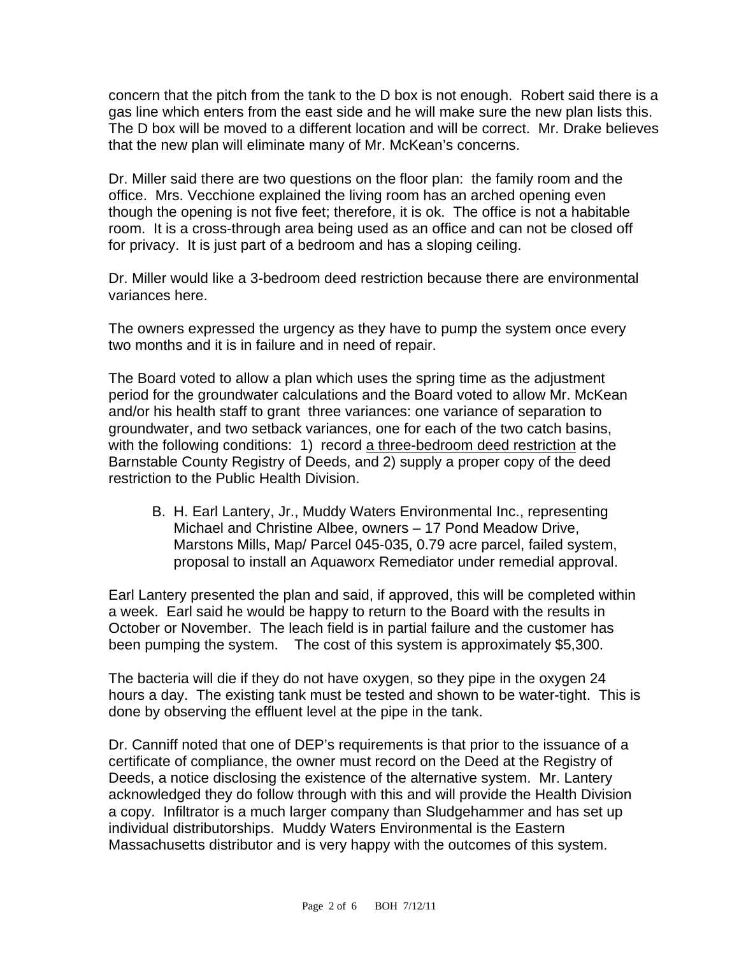concern that the pitch from the tank to the D box is not enough. Robert said there is a gas line which enters from the east side and he will make sure the new plan lists this. The D box will be moved to a different location and will be correct. Mr. Drake believes that the new plan will eliminate many of Mr. McKean's concerns.

Dr. Miller said there are two questions on the floor plan: the family room and the office. Mrs. Vecchione explained the living room has an arched opening even though the opening is not five feet; therefore, it is ok. The office is not a habitable room. It is a cross-through area being used as an office and can not be closed off for privacy. It is just part of a bedroom and has a sloping ceiling.

Dr. Miller would like a 3-bedroom deed restriction because there are environmental variances here.

The owners expressed the urgency as they have to pump the system once every two months and it is in failure and in need of repair.

The Board voted to allow a plan which uses the spring time as the adjustment period for the groundwater calculations and the Board voted to allow Mr. McKean and/or his health staff to grant three variances: one variance of separation to groundwater, and two setback variances, one for each of the two catch basins, with the following conditions: 1) record a three-bedroom deed restriction at the Barnstable County Registry of Deeds, and 2) supply a proper copy of the deed restriction to the Public Health Division.

B. H. Earl Lantery, Jr., Muddy Waters Environmental Inc., representing Michael and Christine Albee, owners – 17 Pond Meadow Drive, Marstons Mills, Map/ Parcel 045-035, 0.79 acre parcel, failed system, proposal to install an Aquaworx Remediator under remedial approval.

Earl Lantery presented the plan and said, if approved, this will be completed within a week. Earl said he would be happy to return to the Board with the results in October or November. The leach field is in partial failure and the customer has been pumping the system. The cost of this system is approximately \$5,300.

The bacteria will die if they do not have oxygen, so they pipe in the oxygen 24 hours a day. The existing tank must be tested and shown to be water-tight. This is done by observing the effluent level at the pipe in the tank.

Dr. Canniff noted that one of DEP's requirements is that prior to the issuance of a certificate of compliance, the owner must record on the Deed at the Registry of Deeds, a notice disclosing the existence of the alternative system. Mr. Lantery acknowledged they do follow through with this and will provide the Health Division a copy. Infiltrator is a much larger company than Sludgehammer and has set up individual distributorships. Muddy Waters Environmental is the Eastern Massachusetts distributor and is very happy with the outcomes of this system.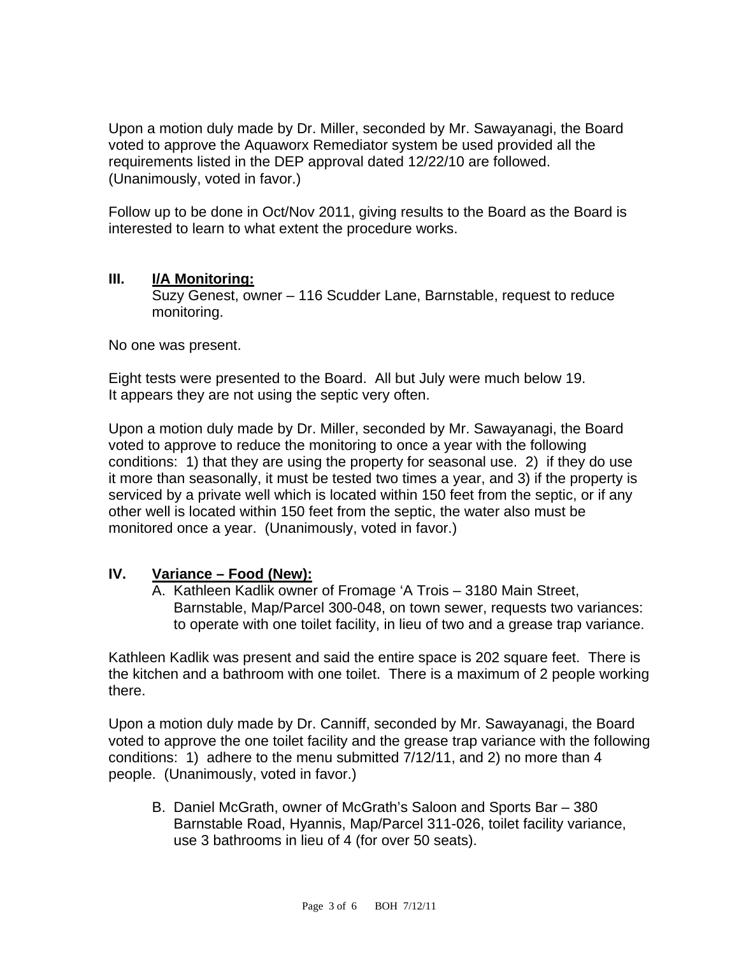Upon a motion duly made by Dr. Miller, seconded by Mr. Sawayanagi, the Board voted to approve the Aquaworx Remediator system be used provided all the requirements listed in the DEP approval dated 12/22/10 are followed. (Unanimously, voted in favor.)

Follow up to be done in Oct/Nov 2011, giving results to the Board as the Board is interested to learn to what extent the procedure works.

#### **III. I/A Monitoring:**

Suzy Genest, owner – 116 Scudder Lane, Barnstable, request to reduce monitoring.

No one was present.

Eight tests were presented to the Board. All but July were much below 19. It appears they are not using the septic very often.

Upon a motion duly made by Dr. Miller, seconded by Mr. Sawayanagi, the Board voted to approve to reduce the monitoring to once a year with the following conditions: 1) that they are using the property for seasonal use. 2) if they do use it more than seasonally, it must be tested two times a year, and 3) if the property is serviced by a private well which is located within 150 feet from the septic, or if any other well is located within 150 feet from the septic, the water also must be monitored once a year. (Unanimously, voted in favor.)

## **IV. Variance – Food (New):**

A. Kathleen Kadlik owner of Fromage 'A Trois – 3180 Main Street, Barnstable, Map/Parcel 300-048, on town sewer, requests two variances: to operate with one toilet facility, in lieu of two and a grease trap variance.

Kathleen Kadlik was present and said the entire space is 202 square feet. There is the kitchen and a bathroom with one toilet. There is a maximum of 2 people working there.

Upon a motion duly made by Dr. Canniff, seconded by Mr. Sawayanagi, the Board voted to approve the one toilet facility and the grease trap variance with the following conditions: 1) adhere to the menu submitted 7/12/11, and 2) no more than 4 people. (Unanimously, voted in favor.)

B. Daniel McGrath, owner of McGrath's Saloon and Sports Bar – 380 Barnstable Road, Hyannis, Map/Parcel 311-026, toilet facility variance, use 3 bathrooms in lieu of 4 (for over 50 seats).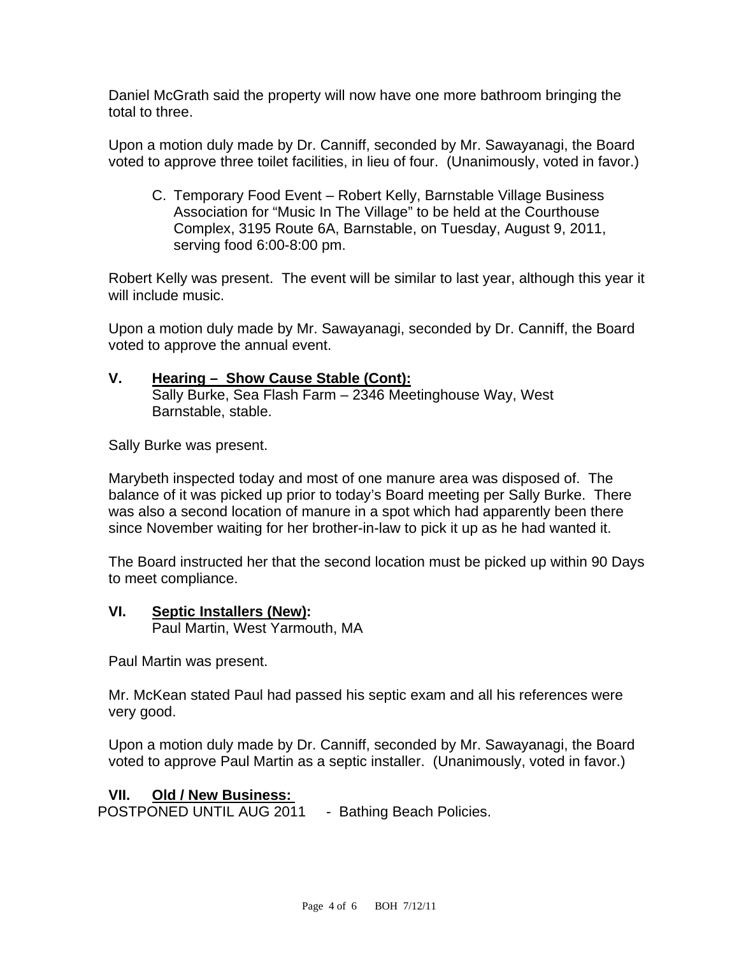Daniel McGrath said the property will now have one more bathroom bringing the total to three.

Upon a motion duly made by Dr. Canniff, seconded by Mr. Sawayanagi, the Board voted to approve three toilet facilities, in lieu of four. (Unanimously, voted in favor.)

C. Temporary Food Event – Robert Kelly, Barnstable Village Business Association for "Music In The Village" to be held at the Courthouse Complex, 3195 Route 6A, Barnstable, on Tuesday, August 9, 2011, serving food 6:00-8:00 pm.

Robert Kelly was present. The event will be similar to last year, although this year it will include music.

Upon a motion duly made by Mr. Sawayanagi, seconded by Dr. Canniff, the Board voted to approve the annual event.

### **V. Hearing – Show Cause Stable (Cont):**

 Sally Burke, Sea Flash Farm – 2346 Meetinghouse Way, West Barnstable, stable.

Sally Burke was present.

Marybeth inspected today and most of one manure area was disposed of. The balance of it was picked up prior to today's Board meeting per Sally Burke. There was also a second location of manure in a spot which had apparently been there since November waiting for her brother-in-law to pick it up as he had wanted it.

The Board instructed her that the second location must be picked up within 90 Days to meet compliance.

#### **VI. Septic Installers (New):**

Paul Martin, West Yarmouth, MA

Paul Martin was present.

Mr. McKean stated Paul had passed his septic exam and all his references were very good.

Upon a motion duly made by Dr. Canniff, seconded by Mr. Sawayanagi, the Board voted to approve Paul Martin as a septic installer. (Unanimously, voted in favor.)

## **VII. Old / New Business:**

POSTPONED UNTIL AUG 2011 - Bathing Beach Policies.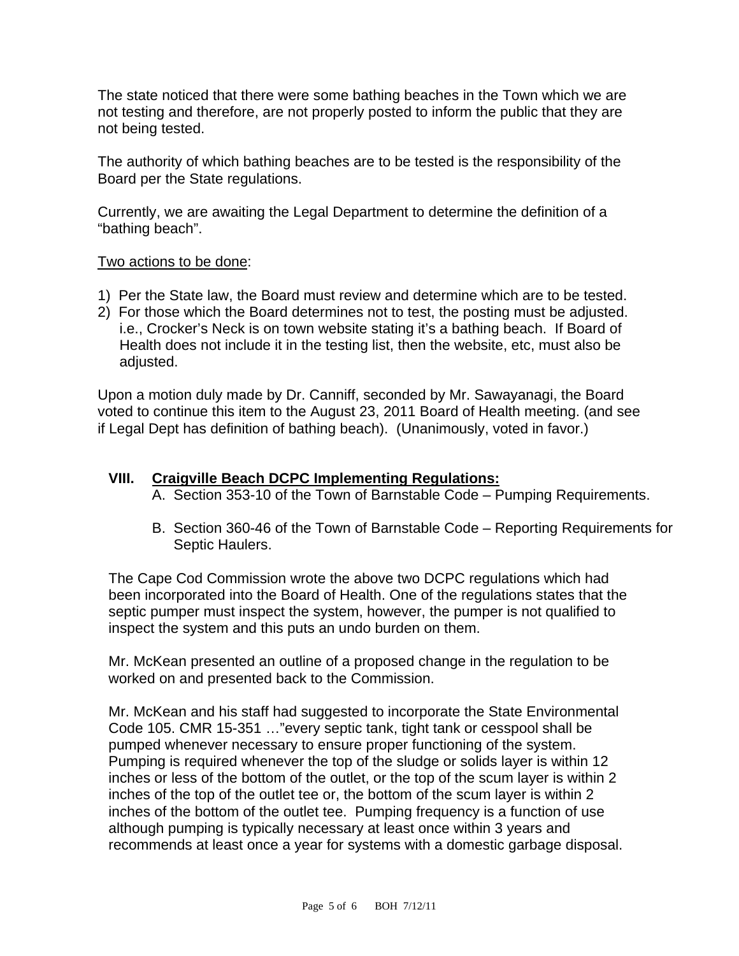The state noticed that there were some bathing beaches in the Town which we are not testing and therefore, are not properly posted to inform the public that they are not being tested.

The authority of which bathing beaches are to be tested is the responsibility of the Board per the State regulations.

Currently, we are awaiting the Legal Department to determine the definition of a "bathing beach".

### Two actions to be done:

- 1) Per the State law, the Board must review and determine which are to be tested.
- 2) For those which the Board determines not to test, the posting must be adjusted. i.e., Crocker's Neck is on town website stating it's a bathing beach. If Board of Health does not include it in the testing list, then the website, etc, must also be adjusted.

Upon a motion duly made by Dr. Canniff, seconded by Mr. Sawayanagi, the Board voted to continue this item to the August 23, 2011 Board of Health meeting. (and see if Legal Dept has definition of bathing beach). (Unanimously, voted in favor.)

#### **VIII. Craigville Beach DCPC Implementing Regulations:**

- A. Section 353-10 of the Town of Barnstable Code Pumping Requirements.
- B. Section 360-46 of the Town of Barnstable Code Reporting Requirements for Septic Haulers.

The Cape Cod Commission wrote the above two DCPC regulations which had been incorporated into the Board of Health. One of the regulations states that the septic pumper must inspect the system, however, the pumper is not qualified to inspect the system and this puts an undo burden on them.

Mr. McKean presented an outline of a proposed change in the regulation to be worked on and presented back to the Commission.

Mr. McKean and his staff had suggested to incorporate the State Environmental Code 105. CMR 15-351 …"every septic tank, tight tank or cesspool shall be pumped whenever necessary to ensure proper functioning of the system. Pumping is required whenever the top of the sludge or solids layer is within 12 inches or less of the bottom of the outlet, or the top of the scum layer is within 2 inches of the top of the outlet tee or, the bottom of the scum layer is within 2 inches of the bottom of the outlet tee. Pumping frequency is a function of use although pumping is typically necessary at least once within 3 years and recommends at least once a year for systems with a domestic garbage disposal.